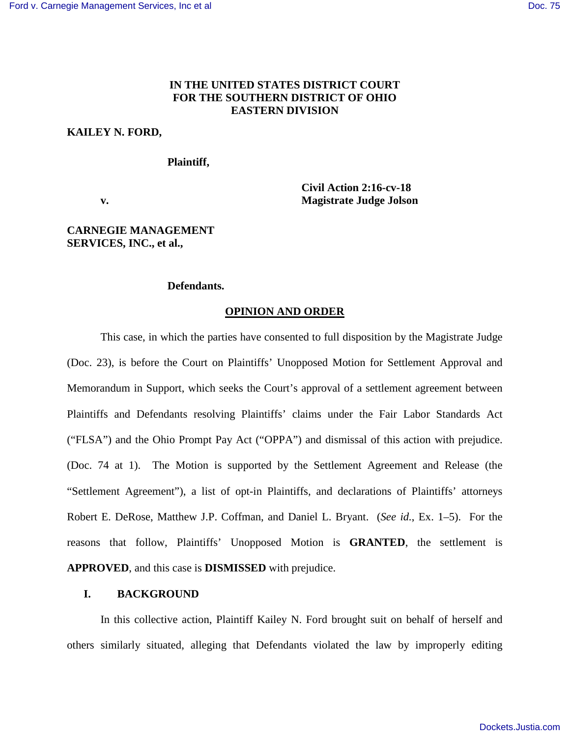# **IN THE UNITED STATES DISTRICT COURT FOR THE SOUTHERN DISTRICT OF OHIO EASTERN DIVISION**

### **KAILEY N. FORD,**

### **Plaintiff,**

**Civil Action 2:16-cv-18 v. Magistrate Judge Jolson** 

## **CARNEGIE MANAGEMENT SERVICES, INC., et al.,**

### **Defendants.**

### **OPINION AND ORDER**

This case, in which the parties have consented to full disposition by the Magistrate Judge (Doc. 23), is before the Court on Plaintiffs' Unopposed Motion for Settlement Approval and Memorandum in Support, which seeks the Court's approval of a settlement agreement between Plaintiffs and Defendants resolving Plaintiffs' claims under the Fair Labor Standards Act ("FLSA") and the Ohio Prompt Pay Act ("OPPA") and dismissal of this action with prejudice. (Doc. 74 at 1). The Motion is supported by the Settlement Agreement and Release (the "Settlement Agreement"), a list of opt-in Plaintiffs, and declarations of Plaintiffs' attorneys Robert E. DeRose, Matthew J.P. Coffman, and Daniel L. Bryant. (*See id.*, Ex. 1–5). For the reasons that follow, Plaintiffs' Unopposed Motion is **GRANTED**, the settlement is **APPROVED**, and this case is **DISMISSED** with prejudice.

## **I. BACKGROUND**

In this collective action, Plaintiff Kailey N. Ford brought suit on behalf of herself and others similarly situated, alleging that Defendants violated the law by improperly editing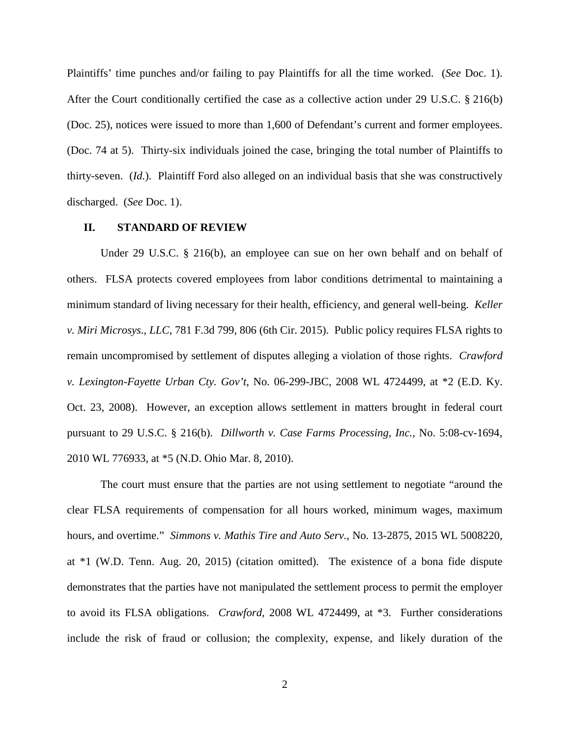Plaintiffs' time punches and/or failing to pay Plaintiffs for all the time worked. (*See* Doc. 1). After the Court conditionally certified the case as a collective action under 29 U.S.C. § 216(b) (Doc. 25), notices were issued to more than 1,600 of Defendant's current and former employees. (Doc. 74 at 5). Thirty-six individuals joined the case, bringing the total number of Plaintiffs to thirty-seven. (*Id.*). Plaintiff Ford also alleged on an individual basis that she was constructively discharged. (*See* Doc. 1).

#### **II. STANDARD OF REVIEW**

Under [29 U.S.C. § 216\(b\),](https://1.next.westlaw.com/Link/Document/FullText?findType=L&pubNum=1000546&cite=29USCAS216&originatingDoc=I77d7091008ba11e7a584a0a13bd3e099&refType=SP&originationContext=document&transitionType=DocumentItem&contextData=%28sc.Search%29#co_pp_a83b000018c76) an employee can sue on her own behalf and on behalf of others. FLSA protects covered employees from labor conditions detrimental to maintaining a minimum standard of living necessary for their health, efficiency, and general well-being. *Keller v. Miri Microsys., LLC*, 781 F.3d 799, 806 (6th Cir. 2015). Public policy requires FLSA rights to remain uncompromised by settlement of disputes alleging a violation of those rights. *Crawford v. Lexington-Fayette Urban Cty. Gov't*, No. 06-299-JBC, 2008 WL 4724499, at \*2 (E.D. Ky. Oct. 23, 2008).However, an exception allows settlement in matters brought in federal court pursuant to [29 U.S.C. § 216\(b\).](https://1.next.westlaw.com/Link/Document/FullText?findType=L&pubNum=1000546&cite=29USCAS216&originatingDoc=I77d7091008ba11e7a584a0a13bd3e099&refType=SP&originationContext=document&transitionType=DocumentItem&contextData=%28sc.Search%29#co_pp_a83b000018c76) *Dillworth v. Case Farms Processing, Inc.*, No. 5:08-cv-1694, 2010 WL 776933, at \*5 (N.D. Ohio Mar. 8, 2010).

The court must ensure that the parties are not using settlement to negotiate "around the clear FLSA requirements of compensation for all hours worked, minimum wages, maximum hours, and overtime." *Simmons v. Mathis Tire and Auto Serv.*, No. 13-2875, 2015 WL 5008220, at \*1 (W.D. Tenn. Aug. 20, 2015) (citation omitted). The existence of a bona fide dispute demonstrates that the parties have not manipulated the settlement process to permit the employer to avoid its FLSA obligations. *Crawford*[, 2008 WL 4724499, at \\*3.](https://1.next.westlaw.com/Link/Document/FullText?findType=Y&serNum=2017370078&pubNum=0000999&originatingDoc=I77d7091008ba11e7a584a0a13bd3e099&refType=RP&originationContext=document&transitionType=DocumentItem&contextData=%28sc.Search%29) Further considerations include the risk of fraud or collusion; the complexity, expense, and likely duration of the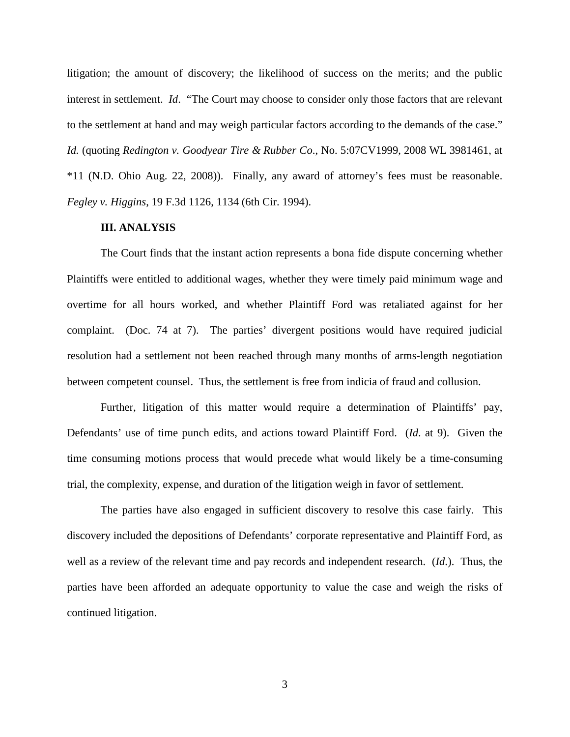litigation; the amount of discovery; the likelihood of success on the merits; and the public interest in settlement. *Id*. "The Court may choose to consider only those factors that are relevant to the settlement at hand and may weigh particular factors according to the demands of the case." *Id.* (quoting *Redington v. Goodyear Tire & Rubber Co*[., No. 5:07CV1999, 2008 WL 3981461, at](https://1.next.westlaw.com/Link/Document/FullText?findType=Y&serNum=2016865211&pubNum=0000999&originatingDoc=I77d7091008ba11e7a584a0a13bd3e099&refType=RP&originationContext=document&transitionType=DocumentItem&contextData=%28sc.Search%29)  [\\*11 \(N.D. Ohio Aug. 22, 2008\)\)](https://1.next.westlaw.com/Link/Document/FullText?findType=Y&serNum=2016865211&pubNum=0000999&originatingDoc=I77d7091008ba11e7a584a0a13bd3e099&refType=RP&originationContext=document&transitionType=DocumentItem&contextData=%28sc.Search%29). Finally, any award of attorney's fees must be reasonable. *Fegley v. Higgins*, 19 F.3d 1126, 1134 (6th Cir. 1994).

### **III. ANALYSIS**

The Court finds that the instant action represents a bona fide dispute concerning whether Plaintiffs were entitled to additional wages, whether they were timely paid minimum wage and overtime for all hours worked, and whether Plaintiff Ford was retaliated against for her complaint. (Doc. 74 at 7). The parties' divergent positions would have required judicial resolution had a settlement not been reached through many months of arms-length negotiation between competent counsel. Thus, the settlement is free from indicia of fraud and collusion.

Further, litigation of this matter would require a determination of Plaintiffs' pay, Defendants' use of time punch edits, and actions toward Plaintiff Ford. (*Id*. at 9). Given the time consuming motions process that would precede what would likely be a time-consuming trial, the complexity, expense, and duration of the litigation weigh in favor of settlement.

The parties have also engaged in sufficient discovery to resolve this case fairly. This discovery included the depositions of Defendants' corporate representative and Plaintiff Ford, as well as a review of the relevant time and pay records and independent research. (*Id*.). Thus, the parties have been afforded an adequate opportunity to value the case and weigh the risks of continued litigation.